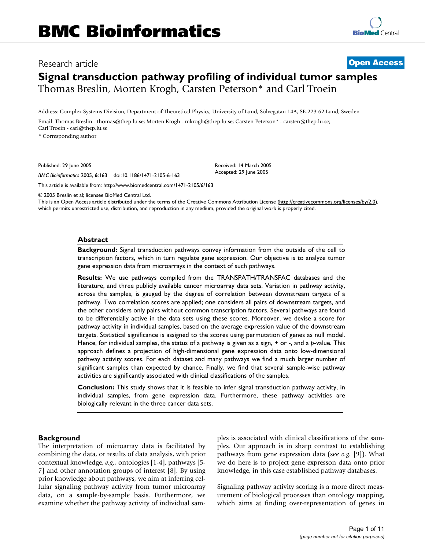# Research article **[Open Access](http://www.biomedcentral.com/info/about/charter/) Signal transduction pathway profiling of individual tumor samples** Thomas Breslin, Morten Krogh, Carsten Peterson\* and Carl Troein

Address: Complex Systems Division, Department of Theoretical Physics, University of Lund, Sölvegatan 14A, SE-223 62 Lund, Sweden

Email: Thomas Breslin - thomas@thep.lu.se; Morten Krogh - mkrogh@thep.lu.se; Carsten Peterson\* - carsten@thep.lu.se; Carl Troein - carl@thep.lu.se

\* Corresponding author

Published: 29 June 2005

*BMC Bioinformatics* 2005, **6**:163 doi:10.1186/1471-2105-6-163

[This article is available from: http://www.biomedcentral.com/1471-2105/6/163](http://www.biomedcentral.com/1471-2105/6/163)

© 2005 Breslin et al; licensee BioMed Central Ltd.

This is an Open Access article distributed under the terms of the Creative Commons Attribution License [\(http://creativecommons.org/licenses/by/2.0\)](http://creativecommons.org/licenses/by/2.0), which permits unrestricted use, distribution, and reproduction in any medium, provided the original work is properly cited.

Received: 14 March 2005 Accepted: 29 June 2005

#### **Abstract**

**Background:** Signal transduction pathways convey information from the outside of the cell to transcription factors, which in turn regulate gene expression. Our objective is to analyze tumor gene expression data from microarrays in the context of such pathways.

**Results:** We use pathways compiled from the TRANSPATH/TRANSFAC databases and the literature, and three publicly available cancer microarray data sets. Variation in pathway activity, across the samples, is gauged by the degree of correlation between downstream targets of a pathway. Two correlation scores are applied; one considers all pairs of downstream targets, and the other considers only pairs without common transcription factors. Several pathways are found to be differentially active in the data sets using these scores. Moreover, we devise a score for pathway activity in individual samples, based on the average expression value of the downstream targets. Statistical significance is assigned to the scores using permutation of genes as null model. Hence, for individual samples, the status of a pathway is given as a sign, + or -, and a *p*-value. This approach defines a projection of high-dimensional gene expression data onto low-dimensional pathway activity scores. For each dataset and many pathways we find a much larger number of significant samples than expected by chance. Finally, we find that several sample-wise pathway activities are significantly associated with clinical classifications of the samples.

**Conclusion:** This study shows that it is feasible to infer signal transduction pathway activity, in individual samples, from gene expression data. Furthermore, these pathway activities are biologically relevant in the three cancer data sets.

## **Background**

The interpretation of microarray data is facilitated by combining the data, or results of data analysis, with prior contextual knowledge, *e.g.,* ontologies [1-4], pathways [5- 7] and other annotation groups of interest [8]. By using prior knowledge about pathways, we aim at inferring cellular signaling pathway activity from tumor microarray data, on a sample-by-sample basis. Furthermore, we examine whether the pathway activity of individual samples is associated with clinical classifications of the samples. Our approach is in sharp contrast to establishing pathways from gene expression data (see *e.g.* [9]). What we do here is to project gene expresson data onto prior knowledge, in this case established pathway databases.

Signaling pathway activity scoring is a more direct measurement of biological processes than ontology mapping, which aims at finding over-representation of genes in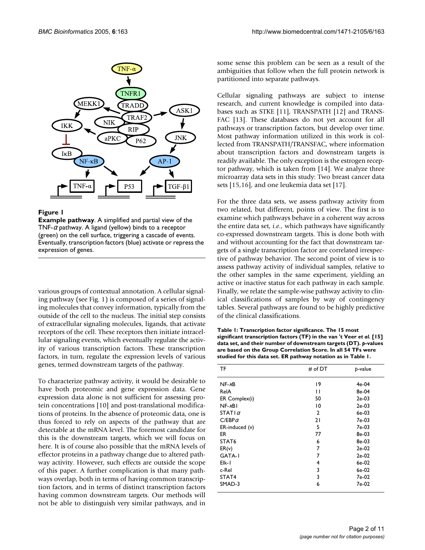

## **Figure 1**

**Example pathway**. A simplified and partial view of the TNF- $\alpha$  pathway. A ligand (yellow) binds to a receptor (green) on the cell surface, triggering a cascade of events. Eventually, transcription factors (blue) activate or repress the expression of genes.

various groups of contextual annotation. A cellular signaling pathway (see Fig. 1) is composed of a series of signaling molecules that convey information, typically from the outside of the cell to the nucleus. The initial step consists of extracellular signaling molecules, ligands, that activate receptors of the cell. These receptors then initiate intracellular signaling events, which eventually regulate the activity of various transcription factors. These transcription factors, in turn, regulate the expression levels of various genes, termed downstream targets of the pathway.

To characterize pathway activity, it would be desirable to have both proteomic and gene expression data. Gene expression data alone is not sufficient for assessing protein concentrations [10] and post-translational modifications of proteins. In the absence of proteomic data, one is thus forced to rely on aspects of the pathway that are detectable at the mRNA level. The foremost candidate for this is the downstream targets, which we will focus on here. It is of course also possible that the mRNA levels of effector proteins in a pathway change due to altered pathway activity. However, such effects are outside the scope of this paper. A further complication is that many pathways overlap, both in terms of having common transcription factors, and in terms of distinct transcription factors having common downstream targets. Our methods will not be able to distinguish very similar pathways, and in some sense this problem can be seen as a result of the ambiguities that follow when the full protein network is partitioned into separate pathways.

Cellular signaling pathways are subject to intense research, and current knowledge is compiled into databases such as STKE [11], TRANSPATH [12] and TRANS-FAC [13]. These databases do not yet account for all pathways or transcription factors, but develop over time. Most pathway information utilized in this work is collected from TRANSPATH/TRANSFAC, where information about transcription factors and downstream targets is readily available. The only exception is the estrogen receptor pathway, which is taken from [14]. We analyze three microarray data sets in this study: Two breast cancer data sets [15,16], and one leukemia data set [17].

For the three data sets, we assess pathway activity from two related, but different, points of view. The first is to examine which pathways behave in a coherent way across the entire data set, *i.e.,* which pathways have significantly co-expressed downstream targets. This is done both with and without accounting for the fact that downstream targets of a single transcription factor are correlated irrespective of pathway behavior. The second point of view is to assess pathway activity of individual samples, relative to the other samples in the same experiment, yielding an active or inactive status for each pathway in each sample. Finally, we relate the sample-wise pathway activity to clinical classifications of samples by way of contingency tables. Several pathways are found to be highly predictive of the clinical classifications.

<span id="page-1-0"></span>**Table 1: Transcription factor significance. The 15 most significant transcription factors (TF) in the van 't Veer** *et al.* **[15] data set, and their number of downstream targets (DT).** *p***-values are based on the Group Correlation Score. In all 54 TFs were studied for this data set. ER pathway notation as in Table 1.**

| ΤF                | # of $DT$      | p-value |
|-------------------|----------------|---------|
| $NF - \kappa B$   | 19             | 4e-04   |
| RelA              | П              | 8e-04   |
| ER Complex(i)     | 50             | 2e-03   |
| $NF - kB1$        | 10             | 2e-03   |
| STATI $\alpha$    | $\overline{2}$ | 6e-03   |
| $C/EBP\alpha$     | 21             | 7e-03   |
| ER-induced (v)    | 5              | 7e-03   |
| ER                | 77             | 8e-03   |
| STAT <sub>6</sub> | 6              | 8e-03   |
| ER(v)             | 7              | $2e-02$ |
| <b>GATA-I</b>     | 7              | 2e-02   |
| Elk-I             | 4              | 6e-02   |
| c-Rel             | 3              | 6e-02   |
| STAT4             | 3              | 7e-02   |
| SMAD-3            | 6              | 7e-02   |
|                   |                |         |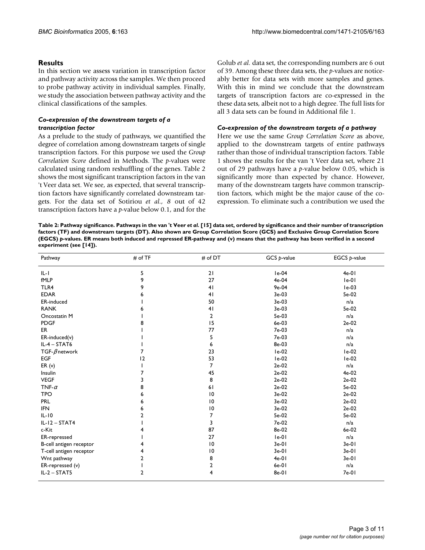# **Results**

In this section we assess variation in transcription factor and pathway activity across the samples. We then proceed to probe pathway activity in individual samples. Finally, we study the association between pathway activity and the clinical classifications of the samples.

## *Co-expression of the downstream targets of a transcription factor*

As a prelude to the study of pathways, we quantified the degree of correlation among downstream targets of single transcription factors. For this purpose we used the *Group Correlation Score* defined in Methods. The *p*-values were calculated using random reshuffling of the genes. Table 2 shows the most significant transcription factors in the van 't Veer data set. We see, as expected, that several transcription factors have significantly correlated downstream targets. For the data set of Sotiriou *et al., 8* out of 42 transcription factors have a *p*-value below 0.1, and for the Golub *et al.* data set, the corresponding numbers are 6 out of 39. Among these three data sets, the *p*-values are noticeably better for data sets with more samples and genes. With this in mind we conclude that the downstream targets of transcription factors are co-expressed in the these data sets, albeit not to a high degree. The full lists for all 3 data sets can be found in Additional file 1.

## *Co-expression of the downstream targets of a pathway*

Here we use the same *Group Correlation Score* as above, applied to the downstream targets of entire pathways rather than those of individual transcription factors. Table [1](#page-1-0) shows the results for the van 't Veer data set, where 21 out of 29 pathways have a *p*-value below 0.05, which is significantly more than expected by chance. However, many of the downstream targets have common transcription factors, which might be the major cause of the coexpression. To eliminate such a contribution we used the

Table 2: Pathway significance. Pathways in the van 't Veer et al. [15] data set, ordered by significance and their number of transcription **factors (TF) and downstream targets (DT). Also shown are Group Correlation Score (GCS) and Exclusive Group Correlation Score (EGCS)** *p***-values. ER means both induced and repressed ER-pathway and (v) means that the pathway has been verified in a second experiment (see [14]).**

| Pathway                 | # of $TF$ | # of DT         | GCS $p$ -value | EGCS $p$ -value |
|-------------------------|-----------|-----------------|----------------|-----------------|
| $ L-1 $                 | 5         | 21              | le-04          | $4e-01$         |
| fMLP                    | 9         | 27              | 4e-04          | $le-01$         |
| TLR4                    | 9         | 41              | 9e-04          | $le-03$         |
| <b>EDAR</b>             | 6         | 41              | $3e-03$        | 5e-02           |
| <b>ER-induced</b>       |           | 50              | 3e-03          | n/a             |
| <b>RANK</b>             | 6         | 41              | 3e-03          | 5e-02           |
| Oncostatin M            |           | $\overline{2}$  | 5e-03          | n/a             |
| <b>PDGF</b>             | 8         | 15              | 6e-03          | 2e-02           |
| ER                      |           | 77              | 7e-03          | n/a             |
| ER-induced(v)           |           | 5               | 7e-03          | n/a             |
| $IL-4 - STAT6$          |           | 6               | 8e-03          | n/a             |
| TGF- $\beta$ network    | 7         | 23              | $le-02$        | le-02           |
| EGF                     | 12        | 53              | le-02          | le-02           |
| ER(v)                   |           | 7               | 2e-02          | n/a             |
| Insulin                 | 7         | 45              | 2e-02          | 4e-02           |
| <b>VEGF</b>             | 3         | 8               | 2e-02          | 2e-02           |
| TNF- $\alpha$           | 8         | 61              | 2e-02          | 5e-02           |
| <b>TPO</b>              | 6         | 10              | 3e-02          | 2e-02           |
| <b>PRL</b>              | 6         | 10              | 3e-02          | 2e-02           |
| <b>IFN</b>              | 6         | $\overline{10}$ | 3e-02          | 2e-02           |
| $IL-IO$                 | 2         | 7               | 5e-02          | 5e-02           |
| $IL-I2 - STAT4$         |           | 3               | 7e-02          | n/a             |
| c-Kit                   | 4         | 87              | 8e-02          | 6e-02           |
| ER-repressed            |           | 27              | $le-01$        | n/a             |
| B-cell antigen receptor | 4         | $\overline{10}$ | $3e-01$        | $3e-01$         |
| T-cell antigen receptor | 4         | $\overline{10}$ | $3e-01$        | $3e-01$         |
| Wnt pathway             | 2         | 8               | $4e-01$        | $3e-01$         |
| ER-repressed (v)        |           | 2               | 6e-01          | n/a             |
| $IL-2 - STAT5$          | 2         | 4               | 8e-01          | 7e-01           |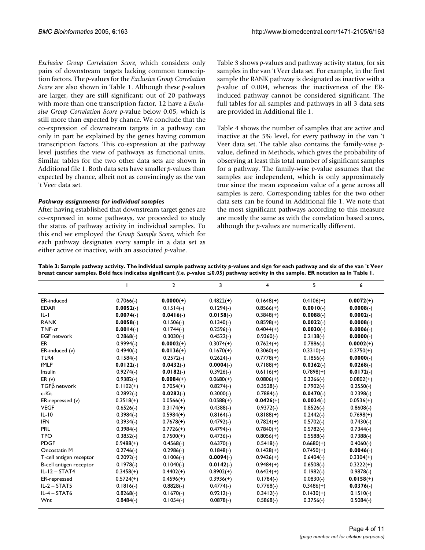*Exclusive Group Correlation Score*, which considers only pairs of downstream targets lacking common transcription factors. The *p*-values for the *Exclusive Group Correlation Score* are also shown in Table [1](#page-1-0). Although these *p*-values are larger, they are still significant; out of 20 pathways with more than one transcription factor, 12 have a *Exclusive Group Correlation Score p*-value below 0.05, which is still more than expected by chance. We conclude that the co-expression of downstream targets in a pathway can only in part be explained by the genes having common transcription factors. This co-expression at the pathway level justifies the view of pathways as functional units. Similar tables for the two other data sets are shown in Additional file 1. Both data sets have smaller *p*-values than expected by chance, albeit not as convincingly as the van 't Veer data set.

## *Pathway assignments for individual samples*

After having established that downstream target genes are co-expressed in some pathways, we proceeded to study the status of pathway activity in individual samples. To this end we employed the *Group Sample Score*, which for each pathway designates every sample in a data set as either active or inactive, with an associated *p*-value.

Table [3](#page-3-0) shows *p*-values and pathway activity status, for six samples in the van 't Veer data set. For example, in the first sample the RANK pathway is designated as inactive with a *p*-value of 0.004, whereas the inactiveness of the ERinduced pathway cannot be considered significant. The full tables for all samples and pathways in all 3 data sets are provided in Additional file 1.

Table [4](#page-4-0) shows the number of samples that are active and inactive at the 5% level, for every pathway in the van 't Veer data set. The table also contains the family-wise *p*value, defined in Methods, which gives the probability of observing at least this total number of significant samples for a pathway. The family-wise *p*-value assumes that the samples are independent, which is only approximately true since the mean expression value of a gene across all samples is zero. Corresponding tables for the two other data sets can be found in Additional file 1. We note that the most significant pathways according to this measure are mostly the same as with the correlation based scores, although the *p*-values are numerically different.

<span id="page-3-0"></span>Table 3: Sample pathway activity. The individual sample pathway activity *p*-values and sign for each pathway and six of the van 't Veer **breast cancer samples. Bold face indicates significant** *(i.e. p***-value** ≤ **0.05) pathway activity in the sample. ER notation as in Table 1.**

|                         |             | $\overline{2}$ | 3           | 4           | 5           | 6           |
|-------------------------|-------------|----------------|-------------|-------------|-------------|-------------|
| <b>ER-induced</b>       | $0.7066(-)$ | $0.0000(+)$    | $0.4822(+)$ | $0.1648(+)$ | $0.4106(+)$ | $0.0072(+)$ |
| <b>EDAR</b>             | $0.0052(-)$ | $0.1514(-)$    | $0.1294(-)$ | $0.8566(+)$ | $0.0010(-)$ | $0.0008(-)$ |
| IL-I                    | $0.0074(-)$ | $0.0416(-)$    | $0.0158(-)$ | $0.3848(+)$ | $0.0088(-)$ | $0.0002(-)$ |
| <b>RANK</b>             | $0.0058(-)$ | $0.1506(-)$    | $0.1340(-)$ | $0.8598(+)$ | $0.0022(-)$ | $0.0008(-)$ |
| TNF- $\alpha$           | $0.0014(-)$ | $0.1744(-)$    | $0.2596(-)$ | $0.4044(+)$ | $0.0030(-)$ | $0.0006(-)$ |
| <b>EGF</b> network      | $0.2868(-)$ | $0.3030(-)$    | $0.4522(-)$ | $0.9360(-)$ | $0.2138(-)$ | $0.0000(-)$ |
| ER                      | $0.9994(-)$ | $0.0002(+)$    | $0.3074(+)$ | $0.7624(+)$ | $0.7886(-)$ | $0.0002(+)$ |
| ER-induced (v)          | $0.4940(-)$ | $0.0136(+)$    | $0.1670(+)$ | $0.3060(+)$ | $0.3310(+)$ | $0.3750(+)$ |
| TLR4                    | $0.1584(-)$ | $0.2572(-)$    | $0.2624(-)$ | $0.7778(+)$ | $0.1856(-)$ | $0.0000(-)$ |
| fMLP                    | $0.0122(-)$ | $0.0432(-)$    | $0.0004(-)$ | $0.7188(+)$ | $0.0362(-)$ | $0.0268(-)$ |
| Insulin                 | $0.9274(-)$ | $0.0182(-)$    | $0.3926(-)$ | $0.6116(+)$ | $0.7898(+)$ | $0.0172(-)$ |
| ER(v)                   | $0.9382(-)$ | $0.0084(+)$    | $0.0680(+)$ | $0.0806(+)$ | $0.3266(-)$ | $0.0802(+)$ |
| $TGF\beta$ network      | $0.1102(+)$ | $0.7054(+)$    | $0.8274(-)$ | $0.3528(-)$ | $0.7902(-)$ | $0.2550(-)$ |
| c-Kit                   | $0.2892(-)$ | $0.0282(-)$    | $0.3000(-)$ | $0.7884(-)$ | $0.0470(-)$ | $0.2398(-)$ |
| ER-repressed (v)        | $0.3518(+)$ | $0.0566(+)$    | $0.0588(+)$ | $0.0426(+)$ | $0.0034(-)$ | $0.0536(+)$ |
| <b>VEGF</b>             | $0.6526(-)$ | $0.3174(+)$    | $0.4388(-)$ | $0.9372(-)$ | $0.8526(-)$ | $0.8608(-)$ |
| $IL-I0$                 | $0.3984(-)$ | $0.5984(+)$    | $0.8164(-)$ | $0.8188(+)$ | $0.2442(-)$ | $0.7698(+)$ |
| <b>IFN</b>              | $0.3934(-)$ | $0.7678(+)$    | $0.4792(-)$ | $0.7824(+)$ | $0.5702(-)$ | $0.7430(-)$ |
| <b>PRL</b>              | $0.3984(-)$ | $0.7726(+)$    | $0.4794(-)$ | $0.7840(+)$ | $0.5782(-)$ | $0.7344(-)$ |
| <b>TPO</b>              | $0.3852(-)$ | $0.7500(+)$    | $0.4736(-)$ | $0.8056(+)$ | $0.5588(-)$ | $0.7388(-)$ |
| <b>PDGF</b>             | $0.9488(+)$ | $0.4568(-)$    | $0.6370(-)$ | $0.5418(-)$ | $0.6680(+)$ | $0.4060(-)$ |
| <b>Oncostatin M</b>     | $0.2746(-)$ | $0.2986(-)$    | $0.1848(-)$ | $0.1428(+)$ | $0.7450(+)$ | $0.0046(-)$ |
| T-cell antigen receptor | $0.2092(-)$ | $0.1006(-)$    | $0.0094(-)$ | $0.9426(+)$ | $0.6404(-)$ | $0.3304(+)$ |
| B-cell antigen receptor | $0.1978(-)$ | $0.1040(-)$    | $0.0142(-)$ | $0.9484(+)$ | $0.6508(-)$ | $0.3222(+)$ |
| $IL-I2 - STAT4$         | $0.3458(+)$ | $0.4402(+)$    | $0.8902(+)$ | $0.6424(+)$ | $0.1982(-)$ | $0.9878(-)$ |
| <b>ER-repressed</b>     | $0.5724(+)$ | $0.4596(+)$    | $0.3936(+)$ | $0.1784(-)$ | $0.0830(-)$ | $0.0158(+)$ |
| $IL-2 - STAT5$          | $0.1816(-)$ | $0.8828(-)$    | $0.4774(-)$ | $0.7768(-)$ | $0.3486(+)$ | $0.0376(-)$ |
| $IL-4 - STAT6$          | $0.8268(-)$ | $0.1670(-)$    | $0.9212(-)$ | $0.3412(-)$ | $0.1430(+)$ | $0.1510(-)$ |
| Wnt                     | $0.8484(-)$ | $0.1054(-)$    | $0.0878(-)$ | $0.5868(-)$ | $0.3756(-)$ | $0.5084(-)$ |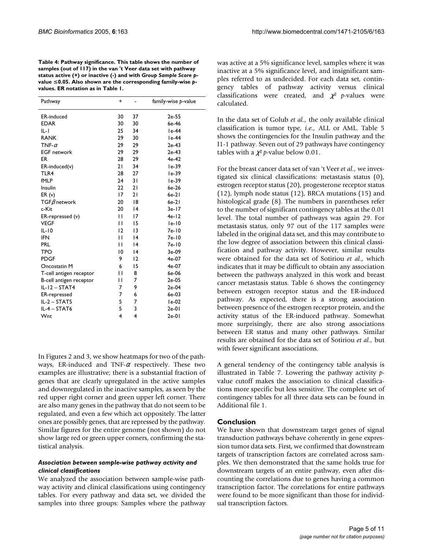<span id="page-4-0"></span>**Table 4: Pathway significance. This table shows the number of samples (out of 117) in the van 't Veer data set with pathway status active (+) or inactive (-) and with** *Group Sample Score p***value** ≤ **0.05. Also shown are the corresponding family-wise** *p***values. ER notation as in Table 1.**

| Pathway                 | +  |                 | family-wise p-value |
|-------------------------|----|-----------------|---------------------|
| <b>ER-induced</b>       | 30 | 37              | 2e-55               |
| <b>EDAR</b>             | 30 | 30              | 6e-46               |
| IL-I                    | 25 | 34              | le-44               |
| <b>RANK</b>             | 29 | 30              | $le-44$             |
| TNF- $\alpha$           | 29 | 29              | $2e-43$             |
| <b>EGF</b> network      | 29 | 29              | 2e-43               |
| ER                      | 28 | 29              | $4e-42$             |
| $ER$ -induced $(v)$     | 21 | 34              | $le-39$             |
| TLR4                    | 28 | 27              | $le-39$             |
| fMLP                    | 24 | 31              | $le-39$             |
| Insulin                 | 22 | 21              | 6e-26               |
| ER(v)                   | 17 | 21              | $6e-21$             |
| TGF $\beta$ network     | 20 | 18              | $6e-21$             |
| c-Kit                   | 20 | 4               | $3e-17$             |
| ER-repressed (v)        | П  | 17              | $4e-12$             |
| <b>VEGF</b>             | П  | 15              | $le-10$             |
| $IL-IO$                 | 12 | 13              | $7e-10$             |
| IFN                     | П  | 14              | 7e-10               |
| <b>PRL</b>              | П  | 4               | 7e-10               |
| <b>TPO</b>              | 10 | $\overline{14}$ | 3e-09               |
| <b>PDGF</b>             | 9  | 12              | 4e-07               |
| Oncostatin M            | 6  | 15              | 4e-07               |
| T-cell antigen receptor | П  | 8               | 6e-06               |
| B-cell antigen receptor | П  | 7               | 2e-05               |
| $IL-I2 - STAT4$         | 7  | 9               | 2e-04               |
| ER-repressed            | 7  | 6               | 6e-03               |
| $IL-2 - STAT5$          | 5  | 7               | $le-02$             |
| IL-4 - STAT6            | 5  | 3               | $2e-01$             |
| Wnt                     | 4  | 4               | $2e-01$             |

In Figures 2 and 3, we show heatmaps for two of the pathways, ER-induced and TNF- $\alpha$  respectively. These two examples are illustrative; there is a substantial fraction of genes that are clearly upregulated in the active samples and downregulated in the inactive samples, as seen by the red upper right corner and green upper left corner. There are also many genes in the pathway that do not seem to be regulated, and even a few which act oppositely. The latter ones are possibly genes, that are repressed by the pathway. Similar figures for the entire genome (not shown) do not show large red or green upper corners, confirming the statistical analysis.

## *Association between sample-wise pathway activity and clinical classifications*

We analyzed the association between sample-wise pathway activity and clinical classifications using contingency tables. For every pathway and data set, we divided the samples into three groups: Samples where the pathway was active at a 5% significance level, samples where it was inactive at a 5% significance level, and insignificant samples referred to as undecided. For each data set, contingency tables of pathway activity versus clinical classifications were created, and  $\chi^2$  *p*-values were calculated.

In the data set of Golub *et al.,* the only available clinical classification is tumor type, *i.e.,* ALL or AML. Table [5](#page-7-0) shows the contingencies for the Insulin pathway and the I1-1 pathway. Seven out of 29 pathways have contingency tables with a  $\chi^2$  *p*-value below 0.01.

For the breast cancer data set of van 't Veer *et al.,* we investigated six clinical classifications: metastasis status (0), estrogen receptor status (20), progesterone receptor status (12), lymph node status (12), BRCA mutations (15) and histological grade (8). The numbers in parentheses refer to the number of significant contingency tables at the 0.01 level. The total number of pathways was again 29. For metastasis status, only 97 out of the 117 samples were labeled in the original data set, and this may contribute to the low degree of association between this clinical classification and pathway activity. However, similar results were obtained for the data set of Sotiriou *et al.,* which indicates that it may be difficult to obtain any association between the pathways analyzed in this work and breast cancer metastasis status. Table [6](#page-7-1) shows the contingency between estrogen receptor status and the ER-induced pathway. As expected, there is a strong association between presence of the estrogen receptor protein, and the activity status of the ER-induced pathway. Somewhat more surprisingly, there are also strong associations between ER status and many other pathways. Similar results are obtained for the data set of Sotiriou *et al.,* but with fewer significant associations.

A general tendency of the contingency table analysis is illustrated in Table [7.](#page-7-2) Lowering the pathway activity *p*value cutoff makes the association to clinical classifications more specific but less sensitive. The complete set of contingency tables for all three data sets can be found in Additional file 1.

# **Conclusion**

We have shown that downstream target genes of signal transduction pathways behave coherently in gene expression tumor data sets. First, we confirmed that downstream targets of transcription factors are correlated across samples. We then demonstrated that the same holds true for downstream targets of an entire pathway, even after discounting the correlations due to genes having a common transcription factor. The correlations for entire pathways were found to be more significant than those for individual transcription factors.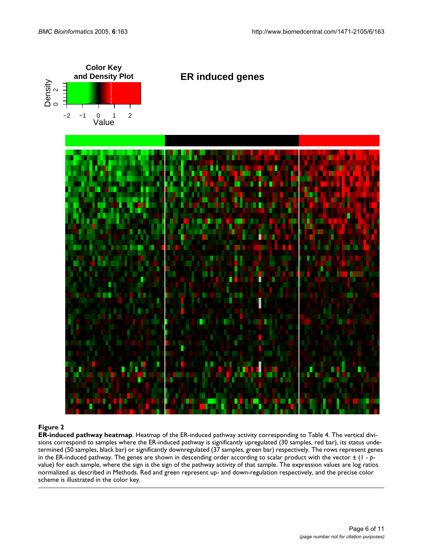

# **Figure 2**

**ER-induced pathway heatmap**. Heatmap of the ER-induced pathway activity corresponding to Table 4. The vertical divisions correspond to samples where the ER-induced pathway is significantly upregulated (30 samples, red bar), its status undetermined (50 samples, black bar) or significantly downregulated (37 samples, green bar) respectively. The rows represent genes in the ER-induced pathway. The genes are shown in descending order according to scalar product with the vector ± (1 - *p*value) for each sample, where the sign is the sign of the pathway activity of that sample. The expression values are log ratios normalized as described in Methods. Red and green represent up- and down-regulation respectively, and the precise color scheme is illustrated in the color key.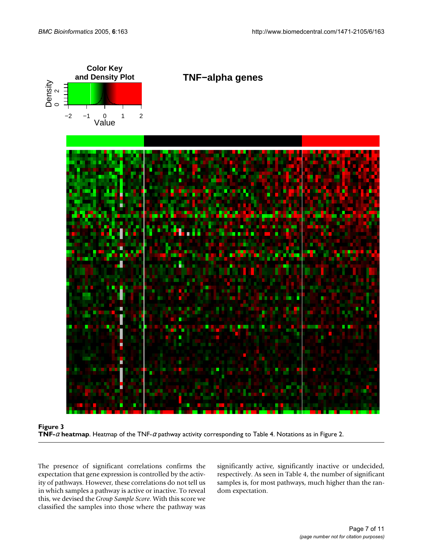



The presence of significant correlations confirms the expectation that gene expression is controlled by the activity of pathways. However, these correlations do not tell us in which samples a pathway is active or inactive. To reveal this, we devised the *Group Sample Score*. With this score we classified the samples into those where the pathway was

significantly active, significantly inactive or undecided, respectively. As seen in Table [4](#page-4-0), the number of significant samples is, for most pathways, much higher than the random expectation.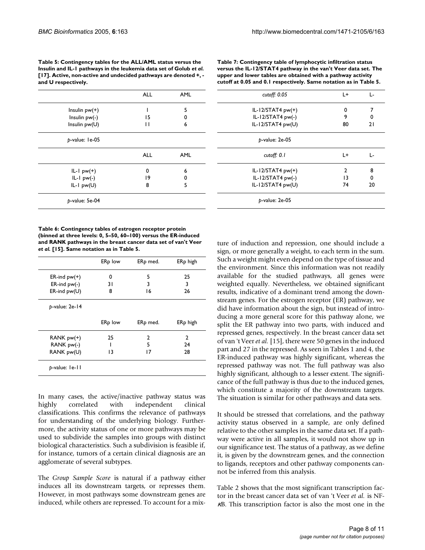|                   | <b>ALL</b> | AML |
|-------------------|------------|-----|
| Insulin $pw(+)$   |            | 5   |
| Insulin $pw(-)$   | 15         | O   |
| Insulin $pw(U)$   | п          | 6   |
| p-value: le-05    |            |     |
|                   | <b>ALL</b> | AML |
| $ L - l$ pw $(+)$ | 0          | 6   |
| $IL-I pw(-)$      | 19         | 0   |
| IL-1 $pw(U)$      | 8          | 5   |
| $p$ -value: 5e-04 |            |     |

<span id="page-7-0"></span>**Table 5: Contingency tables for the ALL/AML status versus the Insulin and IL-1 pathways in the leukemia data set of Golub** *et al.*  **[17]. Active, non-active and undecided pathways are denoted +, and U respectively.**

<span id="page-7-2"></span>**Table 7: Contingency table of lymphocytic infiltration status versus the IL-12/STAT4 pathway in the van't Veer data set. The upper and lower tables are obtained with a pathway activity cutoff at 0.05 and 0.1 respectively. Same notation as in Table 5.**

| cutoff: 0.05        | $L+$          | - ا |
|---------------------|---------------|-----|
| $IL-I2/STAT4 pw(+)$ | 0             | 7   |
| $IL-I2/STAT4 pw(-)$ | 9             | O   |
| IL-12/STAT4 pw(U)   | 80            | 21  |
| $p$ -value: $2e-05$ |               |     |
| cutoff: 0.1         | $+$           | - ا |
| $IL-I2/STAT4 pw(+)$ | $\mathcal{P}$ | 8   |
| $IL-I2/STAT4 pw(-)$ | 13            | 0   |
| IL-12/STAT4 pw(U)   | 74            | 20  |
| $p$ -value: $2e-05$ |               |     |

<span id="page-7-1"></span>**Table 6: Contingency tables of estrogen receptor protein (binned at three levels: 0, 5–50, 60–100) versus the ER-induced and RANK pathways in the breast cancer data set of van't Veer**  *et al.* **[15]. Same notation as in Table 5.**

|                   | ERp low             | ERp med. | ER <sub>p</sub> high |
|-------------------|---------------------|----------|----------------------|
| $ER$ -ind $pw(+)$ | 0                   | 5        | 25                   |
| $ER$ -ind $pw(-)$ | 31                  | 3        | 3                    |
| $ER$ -ind $pw(U)$ | 8                   | 16       | 26                   |
| $p$ -value: 2e-14 |                     |          |                      |
|                   | ER <sub>p</sub> low | ERp med. | ER <sub>p</sub> high |
| RANK pw(+)        | 25                  | 2        | 2                    |
| RANK pw(-)        | ı                   | 5        | 24                   |
| RANK pw(U)        | 13                  | 17       | 28                   |
| p-value: le-11    |                     |          |                      |

In many cases, the active/inactive pathway status was highly correlated with independent clinical classifications. This confirms the relevance of pathways for understanding of the underlying biology. Furthermore, the activity status of one or more pathways may be used to subdivide the samples into groups with distinct biological characteristics. Such a subdivision is feasible if, for instance, tumors of a certain clinical diagnosis are an agglomerate of several subtypes.

The *Group Sample Score* is natural if a pathway either induces all its downstream targets, or represses them. However, in most pathways some downstream genes are induced, while others are repressed. To account for a mixture of induction and repression, one should include a sign, or more generally a weight, to each term in the sum. Such a weight might even depend on the type of tissue and the environment. Since this information was not readily available for the studied pathways, all genes were weighted equally. Nevertheless, we obtained significant results, indicative of a dominant trend among the downstream genes. For the estrogen receptor (ER) pathway, we did have information about the sign, but instead of introducing a more general score for this pathway alone, we split the ER pathway into two parts, with induced and repressed genes, respectively. In the breast cancer data set of van 't Veer *et al.* [15], there were 50 genes in the induced part and 27 in the repressed. As seen in Tables [1](#page-1-0) and [4](#page-4-0), the ER-induced pathway was highly significant, whereas the repressed pathway was not. The full pathway was also highly significant, although to a lesser extent. The significance of the full pathway is thus due to the induced genes, which constitute a majority of the downstream targets. The situation is similar for other pathways and data sets.

It should be stressed that correlations, and the pathway activity status observed in a sample, are only defined relative to the other samples in the same data set. If a pathway were active in all samples, it would not show up in our significance test. The status of a pathway, as we define it, is given by the downstream genes, and the connection to ligands, receptors and other pathway components cannot be inferred from this analysis.

Table 2 shows that the most significant transcription factor in the breast cancer data set of van 't Veer *et al.* is NF<sup>κ</sup>B. This transcription factor is also the most one in the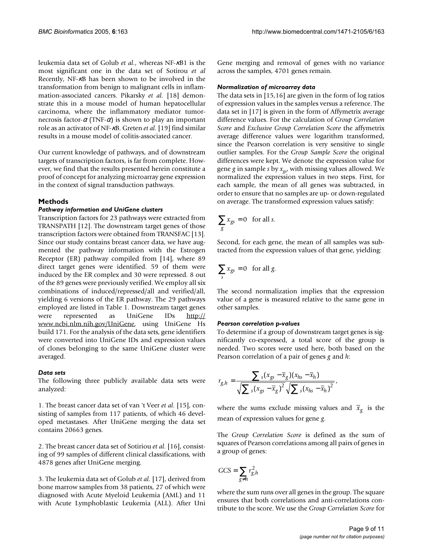leukemia data set of Golub *et al.,* whereas NF-κB1 is the most significant one in the data set of Sotirou *et al* Recently, NF-κB has been shown to be involved in the transformation from benign to malignant cells in inflammation-associated cancers. Pikarsky *et al.* [18] demonstrate this in a mouse model of human hepatocellular carcinoma, where the inflammatory mediator tumornecrosis factor- $\alpha$  (TNF- $\alpha$ ) is shown to play an important role as an activator of NF-κB. Greten *et al.* [19] find similar results in a mouse model of colitis-associated cancer.

Our current knowledge of pathways, and of downstream targets of transcription factors, is far from complete. However, we find that the results presented herein constitute a proof of concept for analyzing microarray gene expression in the context of signal transduction pathways.

## **Methods**

#### *Pathway information and UniGene clusters*

Transcription factors for 23 pathways were extracted from TRANSPATH [12]. The downstream target genes of those transcription factors were obtained from TRANSFAC [13]. Since our study contains breast cancer data, we have augmented the pathway information with the Estrogen Receptor (ER) pathway compiled from [14], where 89 direct target genes were identified. 59 of them were induced by the ER complex and 30 were repressed. 8 out of the 89 genes were previously verified. We employ all six combinations of induced/repressed/all and verified/all, yielding 6 versions of the ER pathway. The 29 pathways employed are listed in Table [1.](#page-1-0) Downstream target genes were represented as UniGene IDs [http://](http://www.ncbi.nlm.nih.gov/UniGene) [www.ncbi.nlm.nih.gov/UniGene,](http://www.ncbi.nlm.nih.gov/UniGene) using UniGene Hs build 171. For the analysis of the data sets, gene identifiers were converted into UniGene IDs and expression values of clones belonging to the same UniGene cluster were averaged.

## *Data sets*

The following three publicly available data sets were analyzed:

1. The breast cancer data set of van 't Veer *et al.* [15], consisting of samples from 117 patients, of which 46 developed metastases. After UniGene merging the data set contains 20663 genes.

2. The breast cancer data set of Sotiriou *et al.* [16], consisting of 99 samples of different clinical classifications, with 4878 genes after UniGene merging.

3. The leukemia data set of Golub *et al.* [17], derived from bone marrow samples from 38 patients, 27 of which were diagnosed with Acute Myeloid Leukemia (AML) and 11 with Acute Lymphoblastic Leukemia (ALL). After Uni

Gene merging and removal of genes with no variance across the samples, 4701 genes remain.

#### *Normalization of microarray data*

The data sets in [15,16] are given in the form of log ratios of expression values in the samples versus a reference. The data set in [17] is given in the form of Affymetrix average difference values. For the calculation of *Group Correlation Score* and *Exclusive Group Correlation Score* the affymetrix average difference values were logarithm transformed, since the Pearson correlation is very sensitive to single outlier samples. For the *Group Sample Score* the original differences were kept. We denote the expression value for gene *g* in sample *s* by *xgs*, with missing values allowed. We normalized the expression values in two steps. First, for each sample, the mean of all genes was subtracted, in order to ensure that no samples are up- or down-regulated on average. The transformed expression values satisfy:

$$
\sum_{g} x_{gs} = 0 \quad \text{for all } s.
$$

Second, for each gene, the mean of all samples was subtracted from the expression values of that gene, yielding:

$$
\sum_{s} x_{gs} = 0 \quad \text{for all } g.
$$

The second normalization implies that the expression value of a gene is measured relative to the same gene in other samples.

#### *Pearson correlation* **p***-values*

To determine if a group of downstream target genes is significantly co-expressed, a total score of the group is needed. Two scores were used here, both based on the Pearson correlation of a pair of genes *g* and *h*:

$$
r_{g,h} = \frac{\sum_{s}(x_{gs} - \overline{x}_g)(x_{hs} - \overline{x}_h)}{\sqrt{\sum_{s}(x_{gs} - \overline{x}_g)^2} \sqrt{\sum_{s}(x_{hs} - \overline{x}_h)^2}},
$$

where the sums exclude missing values and  $\bar{x}_g$  is the mean of expression values for gene *g*.

The *Group Correlation Score* is defined as the sum of squares of Pearson correlations among all pairs of genes in a group of genes:

$$
GCS = \sum_{g \neq h} r_{g,h}^2
$$

where the sum runs over all genes in the group. The square ensures that both correlations and anti-correlations contribute to the score. We use the *Group Correlation Score* for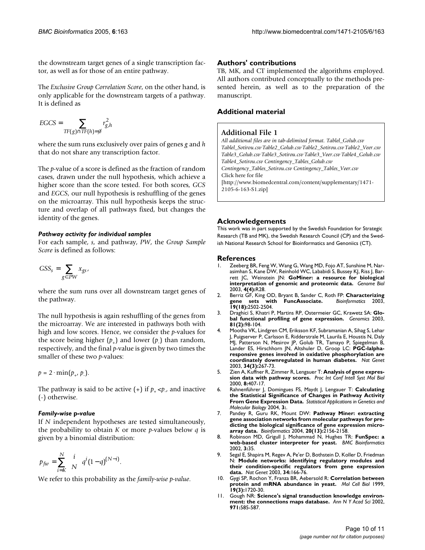the downstream target genes of a single transcription factor, as well as for those of an entire pathway.

The *Exclusive Group Correlation Score*, on the other hand, is only applicable for the downstream targets of a pathway. It is defined as

$$
EGCS = \sum_{TF(g)\cap TF(h)=\emptyset} r_{g,h}^2
$$

where the sum runs exclusively over pairs of genes *g* and *h* that do not share any transcription factor.

The *p*-value of a score is defined as the fraction of random cases, drawn under the null hypothesis, which achieve a higher score than the score tested. For both scores, *GCS* and *EGCS*, our null hypothesis is reshuffling of the genes on the microarray. This null hypothesis keeps the structure and overlap of all pathways fixed, but changes the identity of the genes.

## *Pathway activity for individual samples*

For each sample, *s*, and pathway, *PW*, the *Group Sample Score* is defined as follows:

$$
GSS_s = \sum_{g \subset PW} x_{gs},
$$

where the sum runs over all downstream target genes of the pathway.

The null hypothesis is again reshuffling of the genes from the microarray. We are interested in pathways both with high and low scores. Hence, we consider the *p*-values for the score being higher  $(p_+)$  and lower  $(p_+)$  than random, respectively, and the final *p*-value is given by two times the smaller of these two *p*-values:

 $p = 2 \cdot \min(p_+, p_-).$ 

The pathway is said to be active  $(+)$  if  $p_+ < p_+$ , and inactive (-) otherwise.

# *Family-wise* **p***-value*

If *N* independent hypotheses are tested simultaneously, the probability to obtain *K* or more *p*-values below *q* is given by a binomial distribution:

$$
p_{fw} = \sum_{i=K}^N \binom{i}{N} q^i (1-q)^{(N-i)}.
$$

We refer to this probability as the *family-wise p-value*.

## **Authors' contributions**

TB, MK, and CT implemented the algorithms employed. All authors contributed conceptually to the methods presented herein, as well as to the preparation of the manuscript.

## **Additional material**

## **Additional File 1**

*All additional files are in tab-delimited format. Tablel\_Golub.csv Tablel\_Sotirou.csv Table2\_Golub.csv Table2\_Sotirou.csv Table2\_Veer.csv Table3\_Golub.csv Table3\_Sotirou.csv Table3\_Veer.csv Table4\_Golub.csv Table4\_Sotirou.csv Contingency\_Tables\_Golub.csv Contingency\_Tables\_Sotirou.csv Contingency\_Tables\_Veer.csv* Click here for file [\[http://www.biomedcentral.com/content/supplementary/1471-](http://www.biomedcentral.com/content/supplementary/1471-2105-6-163-S1.zip) 2105-6-163-S1.zip]

# **Acknowledgements**

This work was in part supported by the Swedish Foundation for Strategic Research (TB and MK), the Swedish Research Council (CP) and the Swedish National Research School for Bioinformatics and Genoniics (CT).

## **References**

- Zeeberg BR, Feng W, Wang G, Wang MD, Fojo AT, Sunshine M, Narasimhan S, Kane DW, Reinhold WC, Lababidi S, Bussey KJ, Riss J, Barrett JC, Weinstein JN: **[GoMiner: a resource for biological](http://www.ncbi.nlm.nih.gov/entrez/query.fcgi?cmd=Retrieve&db=PubMed&dopt=Abstract&list_uids=12702209) [interpretation of genomic and proteomic data.](http://www.ncbi.nlm.nih.gov/entrez/query.fcgi?cmd=Retrieve&db=PubMed&dopt=Abstract&list_uids=12702209)** *Genome Biol* 2003, **4(4):**R28.
- 2. Berriz GF, King OD, Bryant B, Sander C, Roth FP: **[Characterizing](http://www.ncbi.nlm.nih.gov/entrez/query.fcgi?cmd=Retrieve&db=PubMed&dopt=Abstract&list_uids=14668247) [gene sets with FuncAssociate.](http://www.ncbi.nlm.nih.gov/entrez/query.fcgi?cmd=Retrieve&db=PubMed&dopt=Abstract&list_uids=14668247)** *Bioinformatics* 2003, **19(18):**2502-2504.
- 3. Draghici S, Khatri P, Martins RP, Ostermeier GC, Krawetz SA: **[Glo](http://www.ncbi.nlm.nih.gov/entrez/query.fcgi?cmd=Retrieve&db=PubMed&dopt=Abstract&list_uids=12620386)[bal functional profiling of gene expression.](http://www.ncbi.nlm.nih.gov/entrez/query.fcgi?cmd=Retrieve&db=PubMed&dopt=Abstract&list_uids=12620386)** *Genomics* 2003, **81(2):**98-104.
- 4. Mootha VK, Lindgren CM, Eriksson KF, Subramanian A, Sihag S, Lehar J, Puigserver P, Carlsson E, Ridderstrale M, Laurila E, Houstis N, Daly MJ, Patterson N, Mesirov JP, Golub TR, Tamayo P, Spiegelman B, Lander ES, Hirschhorn JN, Altshuler D, Groop LC: **[PGC-lalpha](http://www.ncbi.nlm.nih.gov/entrez/query.fcgi?cmd=Retrieve&db=PubMed&dopt=Abstract&list_uids=12808457)[responsive genes involved in oxidative phosphorylation are](http://www.ncbi.nlm.nih.gov/entrez/query.fcgi?cmd=Retrieve&db=PubMed&dopt=Abstract&list_uids=12808457) [coordinately downregulated in human diabetes.](http://www.ncbi.nlm.nih.gov/entrez/query.fcgi?cmd=Retrieve&db=PubMed&dopt=Abstract&list_uids=12808457)** *Nat Genet* 2003, **34(3):**267-73.
- 5. Zien A, Kuffner R, Zimmer R, Lengauer T: **[Analysis of gene expres](http://www.ncbi.nlm.nih.gov/entrez/query.fcgi?cmd=Retrieve&db=PubMed&dopt=Abstract&list_uids=10977101)[sion data with pathway scores.](http://www.ncbi.nlm.nih.gov/entrez/query.fcgi?cmd=Retrieve&db=PubMed&dopt=Abstract&list_uids=10977101)** *Proc Int Conf Intell Syst Mol Biol* 2000, **8:**407-17.
- 6. Rahnenführer J, Domingues FS, Maydt J, Lengauer T: **Calculating the Statistical Significance of Changes in Pathway Activity From Gene Expression Data.** *Statistical Applications in Genetics and Molecular Biology* 2004, **3:**.
- 7. Pandey R, Guru RK, Mount DW: **[Pathway Miner: extracting](http://www.ncbi.nlm.nih.gov/entrez/query.fcgi?cmd=Retrieve&db=PubMed&dopt=Abstract&list_uids=15145817) [gene association networks from molecular pathways for pre](http://www.ncbi.nlm.nih.gov/entrez/query.fcgi?cmd=Retrieve&db=PubMed&dopt=Abstract&list_uids=15145817)dicting the biological significance of gene expression micro[array data.](http://www.ncbi.nlm.nih.gov/entrez/query.fcgi?cmd=Retrieve&db=PubMed&dopt=Abstract&list_uids=15145817)** *Bioinformatics* 2004, **20(13):**2156-2158.
- 8. Robinson MD, Grigull J, Mohammad N, Hughes TR: **[FunSpec: a](http://www.ncbi.nlm.nih.gov/entrez/query.fcgi?cmd=Retrieve&db=PubMed&dopt=Abstract&list_uids=12431279) [web-based cluster interpreter for yeast.](http://www.ncbi.nlm.nih.gov/entrez/query.fcgi?cmd=Retrieve&db=PubMed&dopt=Abstract&list_uids=12431279)** *BMC Bioinformatics* 2002, **3:**35.
- 9. Segal E, Shapira M, Regev A, Pe'er D, Bothstein D, Koller D, Friedman N: **[Module networks: identifying regulatory modules and](http://www.ncbi.nlm.nih.gov/entrez/query.fcgi?cmd=Retrieve&db=PubMed&dopt=Abstract&list_uids=12740579) [their condition-specific regulators from gene expression](http://www.ncbi.nlm.nih.gov/entrez/query.fcgi?cmd=Retrieve&db=PubMed&dopt=Abstract&list_uids=12740579) [data.](http://www.ncbi.nlm.nih.gov/entrez/query.fcgi?cmd=Retrieve&db=PubMed&dopt=Abstract&list_uids=12740579)** *Nat Genet* 2003, **34:**166-76.
- 10. Gygi SP, Rochon Y, Franza BR, Aebersold R: **[Correlation between](http://www.ncbi.nlm.nih.gov/entrez/query.fcgi?cmd=Retrieve&db=PubMed&dopt=Abstract&list_uids=10022859) [protein and mRNA abundance in yeast.](http://www.ncbi.nlm.nih.gov/entrez/query.fcgi?cmd=Retrieve&db=PubMed&dopt=Abstract&list_uids=10022859)** *Mol Cell Biol* 1999, **19(3):**1720-30.
- 11. Gough NR: **[Science's signal transduction knowledge environ](http://www.ncbi.nlm.nih.gov/entrez/query.fcgi?cmd=Retrieve&db=PubMed&dopt=Abstract&list_uids=12438188)[ment: the connections maps database.](http://www.ncbi.nlm.nih.gov/entrez/query.fcgi?cmd=Retrieve&db=PubMed&dopt=Abstract&list_uids=12438188)** *Ann N Y Acad Sci* 2002, **971:**585-587.